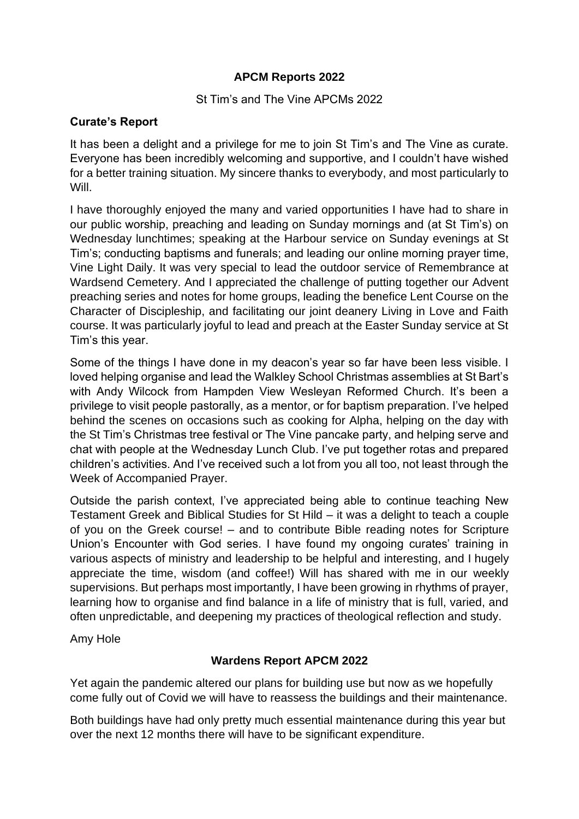## **APCM Reports 2022**

### St Tim's and The Vine APCMs 2022

### **Curate's Report**

It has been a delight and a privilege for me to join St Tim's and The Vine as curate. Everyone has been incredibly welcoming and supportive, and I couldn't have wished for a better training situation. My sincere thanks to everybody, and most particularly to Will.

I have thoroughly enjoyed the many and varied opportunities I have had to share in our public worship, preaching and leading on Sunday mornings and (at St Tim's) on Wednesday lunchtimes; speaking at the Harbour service on Sunday evenings at St Tim's; conducting baptisms and funerals; and leading our online morning prayer time, Vine Light Daily. It was very special to lead the outdoor service of Remembrance at Wardsend Cemetery. And I appreciated the challenge of putting together our Advent preaching series and notes for home groups, leading the benefice Lent Course on the Character of Discipleship, and facilitating our joint deanery Living in Love and Faith course. It was particularly joyful to lead and preach at the Easter Sunday service at St Tim's this year.

Some of the things I have done in my deacon's year so far have been less visible. I loved helping organise and lead the Walkley School Christmas assemblies at St Bart's with Andy Wilcock from Hampden View Wesleyan Reformed Church. It's been a privilege to visit people pastorally, as a mentor, or for baptism preparation. I've helped behind the scenes on occasions such as cooking for Alpha, helping on the day with the St Tim's Christmas tree festival or The Vine pancake party, and helping serve and chat with people at the Wednesday Lunch Club. I've put together rotas and prepared children's activities. And I've received such a lot from you all too, not least through the Week of Accompanied Prayer.

Outside the parish context, I've appreciated being able to continue teaching New Testament Greek and Biblical Studies for St Hild – it was a delight to teach a couple of you on the Greek course! – and to contribute Bible reading notes for Scripture Union's Encounter with God series. I have found my ongoing curates' training in various aspects of ministry and leadership to be helpful and interesting, and I hugely appreciate the time, wisdom (and coffee!) Will has shared with me in our weekly supervisions. But perhaps most importantly, I have been growing in rhythms of prayer, learning how to organise and find balance in a life of ministry that is full, varied, and often unpredictable, and deepening my practices of theological reflection and study.

Amy Hole

# **Wardens Report APCM 2022**

Yet again the pandemic altered our plans for building use but now as we hopefully come fully out of Covid we will have to reassess the buildings and their maintenance.

Both buildings have had only pretty much essential maintenance during this year but over the next 12 months there will have to be significant expenditure.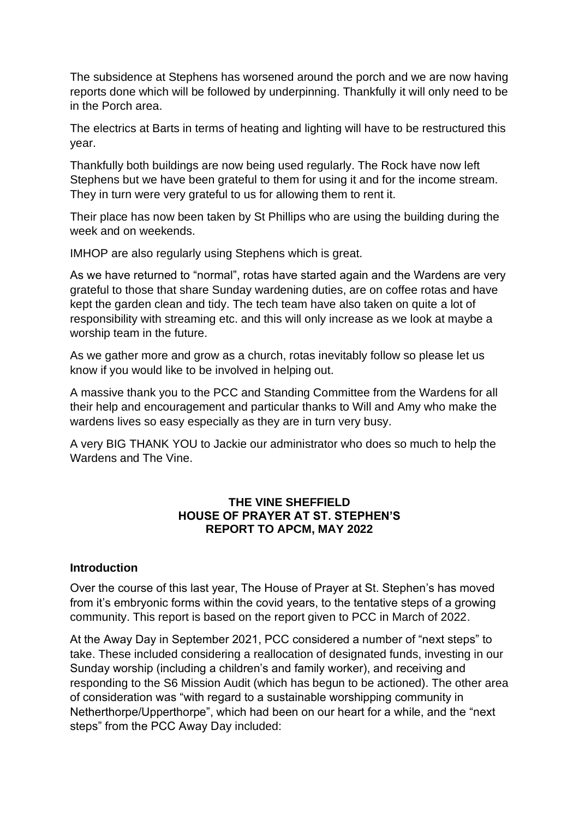The subsidence at Stephens has worsened around the porch and we are now having reports done which will be followed by underpinning. Thankfully it will only need to be in the Porch area.

The electrics at Barts in terms of heating and lighting will have to be restructured this year.

Thankfully both buildings are now being used regularly. The Rock have now left Stephens but we have been grateful to them for using it and for the income stream. They in turn were very grateful to us for allowing them to rent it.

Their place has now been taken by St Phillips who are using the building during the week and on weekends.

IMHOP are also regularly using Stephens which is great.

As we have returned to "normal", rotas have started again and the Wardens are very grateful to those that share Sunday wardening duties, are on coffee rotas and have kept the garden clean and tidy. The tech team have also taken on quite a lot of responsibility with streaming etc. and this will only increase as we look at maybe a worship team in the future.

As we gather more and grow as a church, rotas inevitably follow so please let us know if you would like to be involved in helping out.

A massive thank you to the PCC and Standing Committee from the Wardens for all their help and encouragement and particular thanks to Will and Amy who make the wardens lives so easy especially as they are in turn very busy.

A very BIG THANK YOU to Jackie our administrator who does so much to help the Wardens and The Vine.

#### **THE VINE SHEFFIELD HOUSE OF PRAYER AT ST. STEPHEN'S REPORT TO APCM, MAY 2022**

#### **Introduction**

Over the course of this last year, The House of Prayer at St. Stephen's has moved from it's embryonic forms within the covid years, to the tentative steps of a growing community. This report is based on the report given to PCC in March of 2022.

At the Away Day in September 2021, PCC considered a number of "next steps" to take. These included considering a reallocation of designated funds, investing in our Sunday worship (including a children's and family worker), and receiving and responding to the S6 Mission Audit (which has begun to be actioned). The other area of consideration was "with regard to a sustainable worshipping community in Netherthorpe/Upperthorpe", which had been on our heart for a while, and the "next steps" from the PCC Away Day included: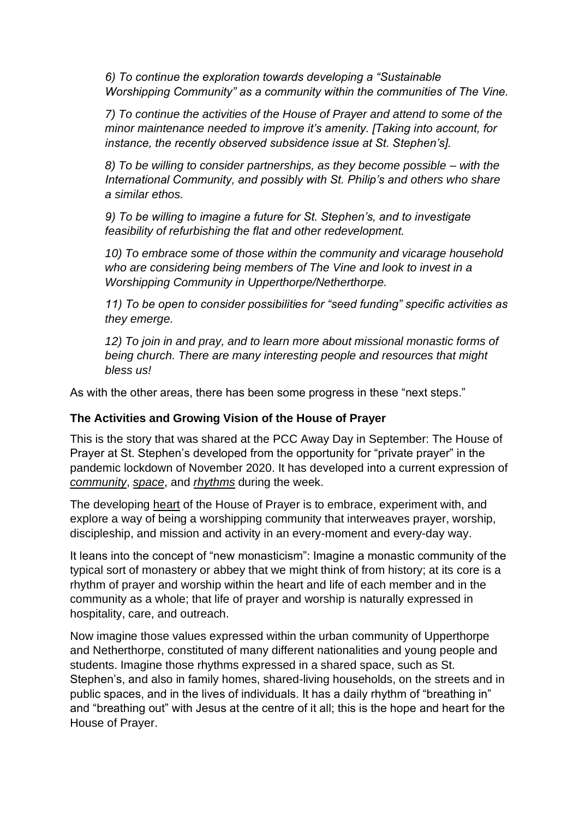*6) To continue the exploration towards developing a "Sustainable Worshipping Community" as a community within the communities of The Vine.* 

*7) To continue the activities of the House of Prayer and attend to some of the minor maintenance needed to improve it's amenity. [Taking into account, for instance, the recently observed subsidence issue at St. Stephen's].* 

*8) To be willing to consider partnerships, as they become possible – with the International Community, and possibly with St. Philip's and others who share a similar ethos.* 

*9) To be willing to imagine a future for St. Stephen's, and to investigate feasibility of refurbishing the flat and other redevelopment.* 

*10) To embrace some of those within the community and vicarage household who are considering being members of The Vine and look to invest in a Worshipping Community in Upperthorpe/Netherthorpe.* 

*11) To be open to consider possibilities for "seed funding" specific activities as they emerge.* 

*12) To join in and pray, and to learn more about missional monastic forms of being church. There are many interesting people and resources that might bless us!*

As with the other areas, there has been some progress in these "next steps."

#### **The Activities and Growing Vision of the House of Prayer**

This is the story that was shared at the PCC Away Day in September: The House of Prayer at St. Stephen's developed from the opportunity for "private prayer" in the pandemic lockdown of November 2020. It has developed into a current expression of *community*, *space*, and *rhythms* during the week.

The developing heart of the House of Prayer is to embrace, experiment with, and explore a way of being a worshipping community that interweaves prayer, worship, discipleship, and mission and activity in an every-moment and every-day way.

It leans into the concept of "new monasticism": Imagine a monastic community of the typical sort of monastery or abbey that we might think of from history; at its core is a rhythm of prayer and worship within the heart and life of each member and in the community as a whole; that life of prayer and worship is naturally expressed in hospitality, care, and outreach.

Now imagine those values expressed within the urban community of Upperthorpe and Netherthorpe, constituted of many different nationalities and young people and students. Imagine those rhythms expressed in a shared space, such as St. Stephen's, and also in family homes, shared-living households, on the streets and in public spaces, and in the lives of individuals. It has a daily rhythm of "breathing in" and "breathing out" with Jesus at the centre of it all; this is the hope and heart for the House of Prayer.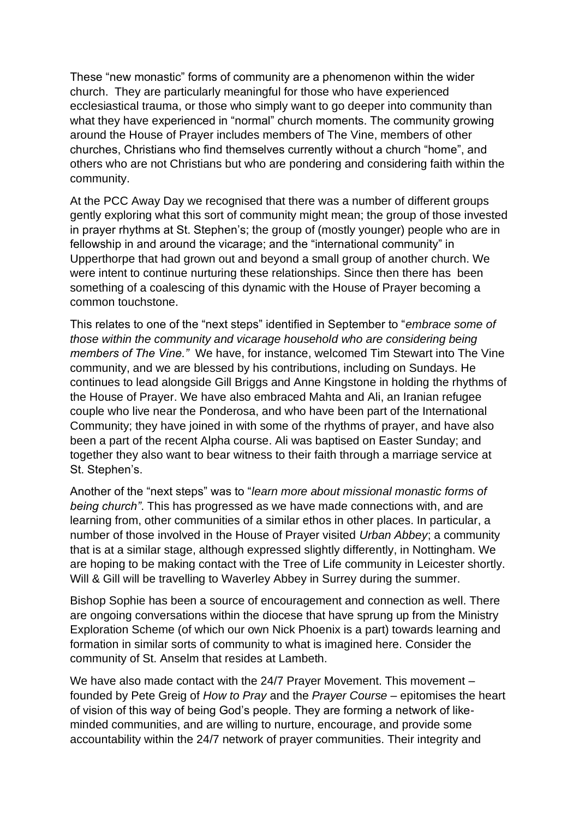These "new monastic" forms of community are a phenomenon within the wider church. They are particularly meaningful for those who have experienced ecclesiastical trauma, or those who simply want to go deeper into community than what they have experienced in "normal" church moments. The community growing around the House of Prayer includes members of The Vine, members of other churches, Christians who find themselves currently without a church "home", and others who are not Christians but who are pondering and considering faith within the community.

At the PCC Away Day we recognised that there was a number of different groups gently exploring what this sort of community might mean; the group of those invested in prayer rhythms at St. Stephen's; the group of (mostly younger) people who are in fellowship in and around the vicarage; and the "international community" in Upperthorpe that had grown out and beyond a small group of another church. We were intent to continue nurturing these relationships. Since then there has been something of a coalescing of this dynamic with the House of Prayer becoming a common touchstone.

This relates to one of the "next steps" identified in September to "*embrace some of those within the community and vicarage household who are considering being members of The Vine."* We have, for instance, welcomed Tim Stewart into The Vine community, and we are blessed by his contributions, including on Sundays. He continues to lead alongside Gill Briggs and Anne Kingstone in holding the rhythms of the House of Prayer. We have also embraced Mahta and Ali, an Iranian refugee couple who live near the Ponderosa, and who have been part of the International Community; they have joined in with some of the rhythms of prayer, and have also been a part of the recent Alpha course. Ali was baptised on Easter Sunday; and together they also want to bear witness to their faith through a marriage service at St. Stephen's.

Another of the "next steps" was to "*learn more about missional monastic forms of being church"*. This has progressed as we have made connections with, and are learning from, other communities of a similar ethos in other places. In particular, a number of those involved in the House of Prayer visited *Urban Abbey*; a community that is at a similar stage, although expressed slightly differently, in Nottingham. We are hoping to be making contact with the Tree of Life community in Leicester shortly. Will & Gill will be travelling to Waverley Abbey in Surrey during the summer.

Bishop Sophie has been a source of encouragement and connection as well. There are ongoing conversations within the diocese that have sprung up from the Ministry Exploration Scheme (of which our own Nick Phoenix is a part) towards learning and formation in similar sorts of community to what is imagined here. Consider the community of St. Anselm that resides at Lambeth.

We have also made contact with the 24/7 Prayer Movement. This movement – founded by Pete Greig of *How to Pray* and the *Prayer Course* – epitomises the heart of vision of this way of being God's people. They are forming a network of likeminded communities, and are willing to nurture, encourage, and provide some accountability within the 24/7 network of prayer communities. Their integrity and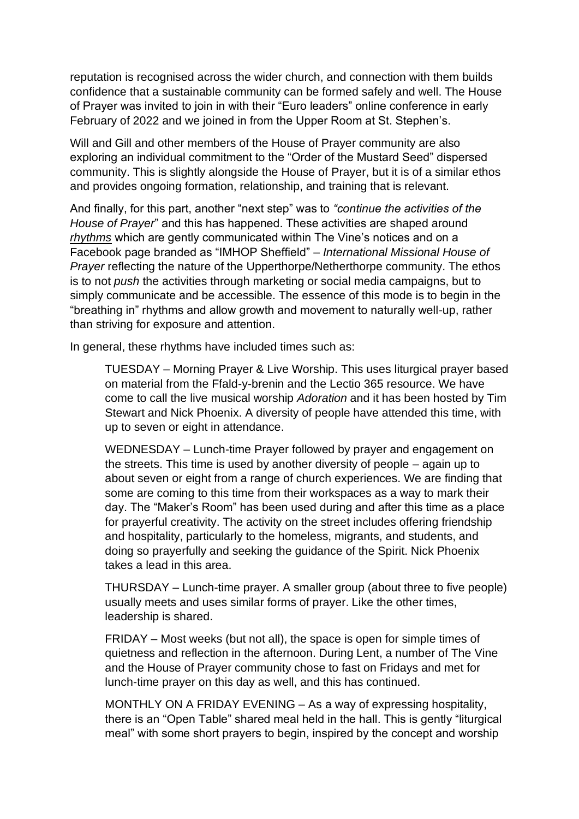reputation is recognised across the wider church, and connection with them builds confidence that a sustainable community can be formed safely and well. The House of Prayer was invited to join in with their "Euro leaders" online conference in early February of 2022 and we joined in from the Upper Room at St. Stephen's.

Will and Gill and other members of the House of Prayer community are also exploring an individual commitment to the "Order of the Mustard Seed" dispersed community. This is slightly alongside the House of Prayer, but it is of a similar ethos and provides ongoing formation, relationship, and training that is relevant.

And finally, for this part, another "next step" was to *"continue the activities of the House of Prayer*" and this has happened. These activities are shaped around *rhythms* which are gently communicated within The Vine's notices and on a Facebook page branded as "IMHOP Sheffield" – *International Missional House of Prayer* reflecting the nature of the Upperthorpe/Netherthorpe community. The ethos is to not *push* the activities through marketing or social media campaigns, but to simply communicate and be accessible. The essence of this mode is to begin in the "breathing in" rhythms and allow growth and movement to naturally well-up, rather than striving for exposure and attention.

In general, these rhythms have included times such as:

TUESDAY – Morning Prayer & Live Worship. This uses liturgical prayer based on material from the Ffald-y-brenin and the Lectio 365 resource. We have come to call the live musical worship *Adoration* and it has been hosted by Tim Stewart and Nick Phoenix. A diversity of people have attended this time, with up to seven or eight in attendance.

WEDNESDAY – Lunch-time Prayer followed by prayer and engagement on the streets. This time is used by another diversity of people – again up to about seven or eight from a range of church experiences. We are finding that some are coming to this time from their workspaces as a way to mark their day. The "Maker's Room" has been used during and after this time as a place for prayerful creativity. The activity on the street includes offering friendship and hospitality, particularly to the homeless, migrants, and students, and doing so prayerfully and seeking the guidance of the Spirit. Nick Phoenix takes a lead in this area.

THURSDAY – Lunch-time prayer. A smaller group (about three to five people) usually meets and uses similar forms of prayer. Like the other times, leadership is shared.

FRIDAY – Most weeks (but not all), the space is open for simple times of quietness and reflection in the afternoon. During Lent, a number of The Vine and the House of Prayer community chose to fast on Fridays and met for lunch-time prayer on this day as well, and this has continued.

MONTHLY ON A FRIDAY EVENING – As a way of expressing hospitality, there is an "Open Table" shared meal held in the hall. This is gently "liturgical meal" with some short prayers to begin, inspired by the concept and worship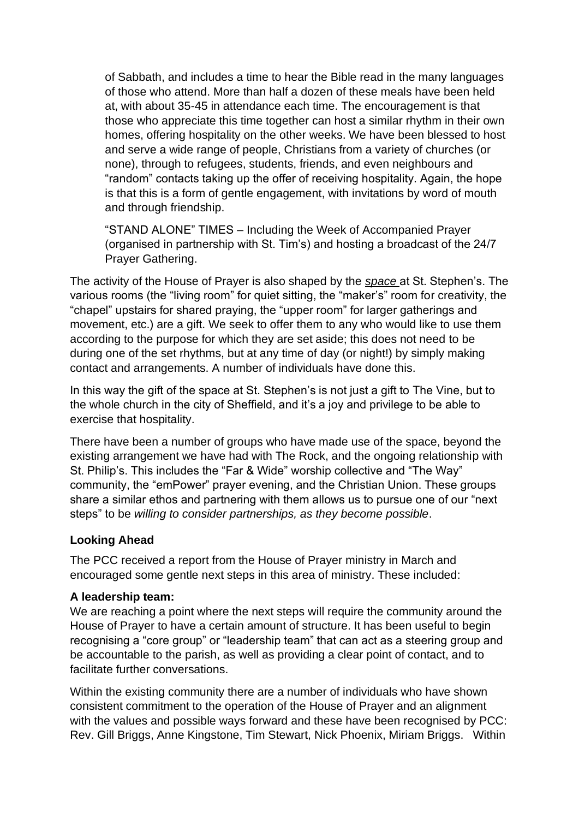of Sabbath, and includes a time to hear the Bible read in the many languages of those who attend. More than half a dozen of these meals have been held at, with about 35-45 in attendance each time. The encouragement is that those who appreciate this time together can host a similar rhythm in their own homes, offering hospitality on the other weeks. We have been blessed to host and serve a wide range of people, Christians from a variety of churches (or none), through to refugees, students, friends, and even neighbours and "random" contacts taking up the offer of receiving hospitality. Again, the hope is that this is a form of gentle engagement, with invitations by word of mouth and through friendship.

"STAND ALONE" TIMES – Including the Week of Accompanied Prayer (organised in partnership with St. Tim's) and hosting a broadcast of the 24/7 Prayer Gathering.

The activity of the House of Prayer is also shaped by the *space* at St. Stephen's. The various rooms (the "living room" for quiet sitting, the "maker's" room for creativity, the "chapel" upstairs for shared praying, the "upper room" for larger gatherings and movement, etc.) are a gift. We seek to offer them to any who would like to use them according to the purpose for which they are set aside; this does not need to be during one of the set rhythms, but at any time of day (or night!) by simply making contact and arrangements. A number of individuals have done this.

In this way the gift of the space at St. Stephen's is not just a gift to The Vine, but to the whole church in the city of Sheffield, and it's a joy and privilege to be able to exercise that hospitality.

There have been a number of groups who have made use of the space, beyond the existing arrangement we have had with The Rock, and the ongoing relationship with St. Philip's. This includes the "Far & Wide" worship collective and "The Way" community, the "emPower" prayer evening, and the Christian Union. These groups share a similar ethos and partnering with them allows us to pursue one of our "next steps" to be *willing to consider partnerships, as they become possible*.

#### **Looking Ahead**

The PCC received a report from the House of Prayer ministry in March and encouraged some gentle next steps in this area of ministry. These included:

#### **A leadership team:**

We are reaching a point where the next steps will require the community around the House of Prayer to have a certain amount of structure. It has been useful to begin recognising a "core group" or "leadership team" that can act as a steering group and be accountable to the parish, as well as providing a clear point of contact, and to facilitate further conversations.

Within the existing community there are a number of individuals who have shown consistent commitment to the operation of the House of Prayer and an alignment with the values and possible ways forward and these have been recognised by PCC: Rev. Gill Briggs, Anne Kingstone, Tim Stewart, Nick Phoenix, Miriam Briggs. Within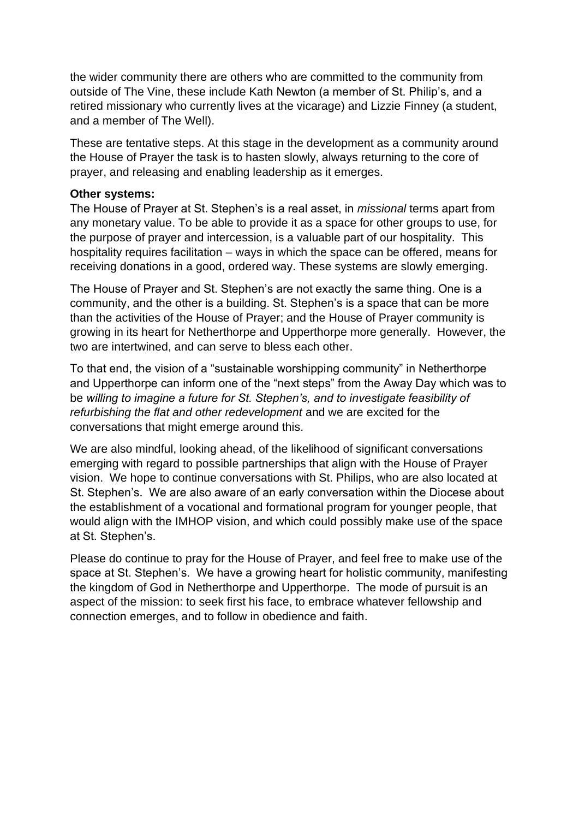the wider community there are others who are committed to the community from outside of The Vine, these include Kath Newton (a member of St. Philip's, and a retired missionary who currently lives at the vicarage) and Lizzie Finney (a student, and a member of The Well).

These are tentative steps. At this stage in the development as a community around the House of Prayer the task is to hasten slowly, always returning to the core of prayer, and releasing and enabling leadership as it emerges.

#### **Other systems:**

The House of Prayer at St. Stephen's is a real asset, in *missional* terms apart from any monetary value. To be able to provide it as a space for other groups to use, for the purpose of prayer and intercession, is a valuable part of our hospitality. This hospitality requires facilitation – ways in which the space can be offered, means for receiving donations in a good, ordered way. These systems are slowly emerging.

The House of Prayer and St. Stephen's are not exactly the same thing. One is a community, and the other is a building. St. Stephen's is a space that can be more than the activities of the House of Prayer; and the House of Prayer community is growing in its heart for Netherthorpe and Upperthorpe more generally. However, the two are intertwined, and can serve to bless each other.

To that end, the vision of a "sustainable worshipping community" in Netherthorpe and Upperthorpe can inform one of the "next steps" from the Away Day which was to be *willing to imagine a future for St. Stephen's, and to investigate feasibility of refurbishing the flat and other redevelopment* and we are excited for the conversations that might emerge around this.

We are also mindful, looking ahead, of the likelihood of significant conversations emerging with regard to possible partnerships that align with the House of Prayer vision. We hope to continue conversations with St. Philips, who are also located at St. Stephen's. We are also aware of an early conversation within the Diocese about the establishment of a vocational and formational program for younger people, that would align with the IMHOP vision, and which could possibly make use of the space at St. Stephen's.

Please do continue to pray for the House of Prayer, and feel free to make use of the space at St. Stephen's. We have a growing heart for holistic community, manifesting the kingdom of God in Netherthorpe and Upperthorpe. The mode of pursuit is an aspect of the mission: to seek first his face, to embrace whatever fellowship and connection emerges, and to follow in obedience and faith.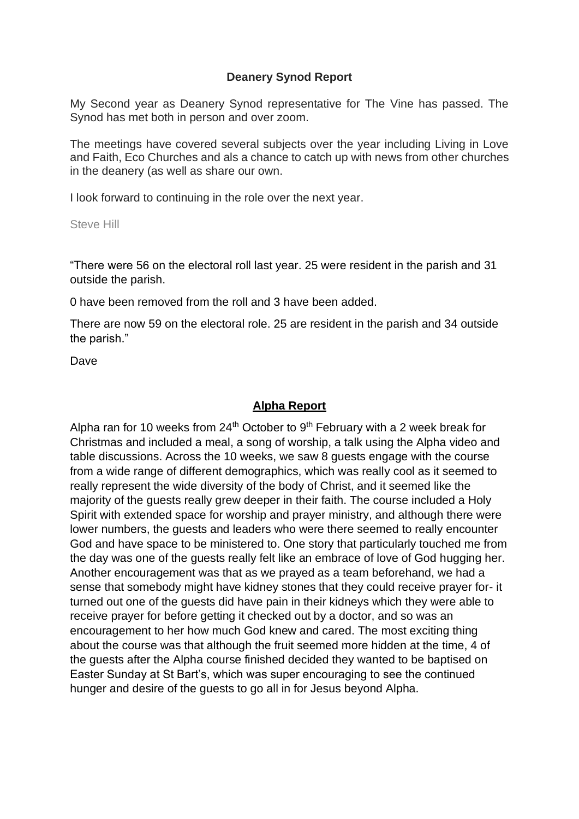#### **Deanery Synod Report**

My Second year as Deanery Synod representative for The Vine has passed. The Synod has met both in person and over zoom.

The meetings have covered several subjects over the year including Living in Love and Faith, Eco Churches and als a chance to catch up with news from other churches in the deanery (as well as share our own.

I look forward to continuing in the role over the next year.

Steve Hill

"There were 56 on the electoral roll last year. 25 were resident in the parish and 31 outside the parish.

0 have been removed from the roll and 3 have been added.

There are now 59 on the electoral role. 25 are resident in the parish and 34 outside the parish."

Dave

#### **Alpha Report**

Alpha ran for 10 weeks from  $24<sup>th</sup>$  October to  $9<sup>th</sup>$  February with a 2 week break for Christmas and included a meal, a song of worship, a talk using the Alpha video and table discussions. Across the 10 weeks, we saw 8 guests engage with the course from a wide range of different demographics, which was really cool as it seemed to really represent the wide diversity of the body of Christ, and it seemed like the majority of the guests really grew deeper in their faith. The course included a Holy Spirit with extended space for worship and prayer ministry, and although there were lower numbers, the guests and leaders who were there seemed to really encounter God and have space to be ministered to. One story that particularly touched me from the day was one of the guests really felt like an embrace of love of God hugging her. Another encouragement was that as we prayed as a team beforehand, we had a sense that somebody might have kidney stones that they could receive prayer for- it turned out one of the guests did have pain in their kidneys which they were able to receive prayer for before getting it checked out by a doctor, and so was an encouragement to her how much God knew and cared. The most exciting thing about the course was that although the fruit seemed more hidden at the time, 4 of the guests after the Alpha course finished decided they wanted to be baptised on Easter Sunday at St Bart's, which was super encouraging to see the continued hunger and desire of the guests to go all in for Jesus beyond Alpha.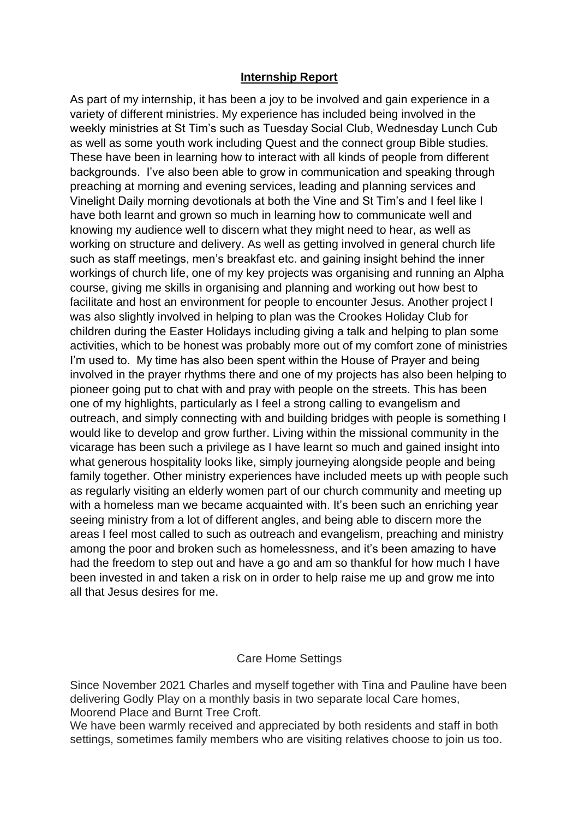#### **Internship Report**

As part of my internship, it has been a joy to be involved and gain experience in a variety of different ministries. My experience has included being involved in the weekly ministries at St Tim's such as Tuesday Social Club, Wednesday Lunch Cub as well as some youth work including Quest and the connect group Bible studies. These have been in learning how to interact with all kinds of people from different backgrounds. I've also been able to grow in communication and speaking through preaching at morning and evening services, leading and planning services and Vinelight Daily morning devotionals at both the Vine and St Tim's and I feel like I have both learnt and grown so much in learning how to communicate well and knowing my audience well to discern what they might need to hear, as well as working on structure and delivery. As well as getting involved in general church life such as staff meetings, men's breakfast etc. and gaining insight behind the inner workings of church life, one of my key projects was organising and running an Alpha course, giving me skills in organising and planning and working out how best to facilitate and host an environment for people to encounter Jesus. Another project I was also slightly involved in helping to plan was the Crookes Holiday Club for children during the Easter Holidays including giving a talk and helping to plan some activities, which to be honest was probably more out of my comfort zone of ministries I'm used to. My time has also been spent within the House of Prayer and being involved in the prayer rhythms there and one of my projects has also been helping to pioneer going put to chat with and pray with people on the streets. This has been one of my highlights, particularly as I feel a strong calling to evangelism and outreach, and simply connecting with and building bridges with people is something I would like to develop and grow further. Living within the missional community in the vicarage has been such a privilege as I have learnt so much and gained insight into what generous hospitality looks like, simply journeying alongside people and being family together. Other ministry experiences have included meets up with people such as regularly visiting an elderly women part of our church community and meeting up with a homeless man we became acquainted with. It's been such an enriching year seeing ministry from a lot of different angles, and being able to discern more the areas I feel most called to such as outreach and evangelism, preaching and ministry among the poor and broken such as homelessness, and it's been amazing to have had the freedom to step out and have a go and am so thankful for how much I have been invested in and taken a risk on in order to help raise me up and grow me into all that Jesus desires for me.

#### Care Home Settings

Since November 2021 Charles and myself together with Tina and Pauline have been delivering Godly Play on a monthly basis in two separate local Care homes, Moorend Place and Burnt Tree Croft.

We have been warmly received and appreciated by both residents and staff in both settings, sometimes family members who are visiting relatives choose to join us too.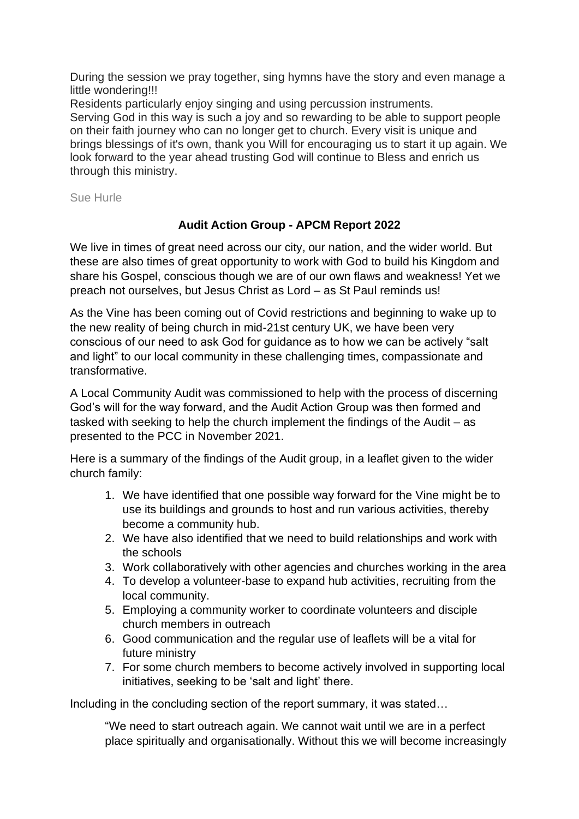During the session we pray together, sing hymns have the story and even manage a little wondering!!!

Residents particularly enjoy singing and using percussion instruments. Serving God in this way is such a joy and so rewarding to be able to support people on their faith journey who can no longer get to church. Every visit is unique and brings blessings of it's own, thank you Will for encouraging us to start it up again. We look forward to the year ahead trusting God will continue to Bless and enrich us through this ministry.

Sue Hurle

## **Audit Action Group - APCM Report 2022**

We live in times of great need across our city, our nation, and the wider world. But these are also times of great opportunity to work with God to build his Kingdom and share his Gospel, conscious though we are of our own flaws and weakness! Yet we preach not ourselves, but Jesus Christ as Lord – as St Paul reminds us!

As the Vine has been coming out of Covid restrictions and beginning to wake up to the new reality of being church in mid-21st century UK, we have been very conscious of our need to ask God for guidance as to how we can be actively "salt and light" to our local community in these challenging times, compassionate and transformative.

A Local Community Audit was commissioned to help with the process of discerning God's will for the way forward, and the Audit Action Group was then formed and tasked with seeking to help the church implement the findings of the Audit – as presented to the PCC in November 2021.

Here is a summary of the findings of the Audit group, in a leaflet given to the wider church family:

- 1. We have identified that one possible way forward for the Vine might be to use its buildings and grounds to host and run various activities, thereby become a community hub.
- 2. We have also identified that we need to build relationships and work with the schools
- 3. Work collaboratively with other agencies and churches working in the area
- 4. To develop a volunteer-base to expand hub activities, recruiting from the local community.
- 5. Employing a community worker to coordinate volunteers and disciple church members in outreach
- 6. Good communication and the regular use of leaflets will be a vital for future ministry
- 7. For some church members to become actively involved in supporting local initiatives, seeking to be 'salt and light' there.

Including in the concluding section of the report summary, it was stated…

"We need to start outreach again. We cannot wait until we are in a perfect place spiritually and organisationally. Without this we will become increasingly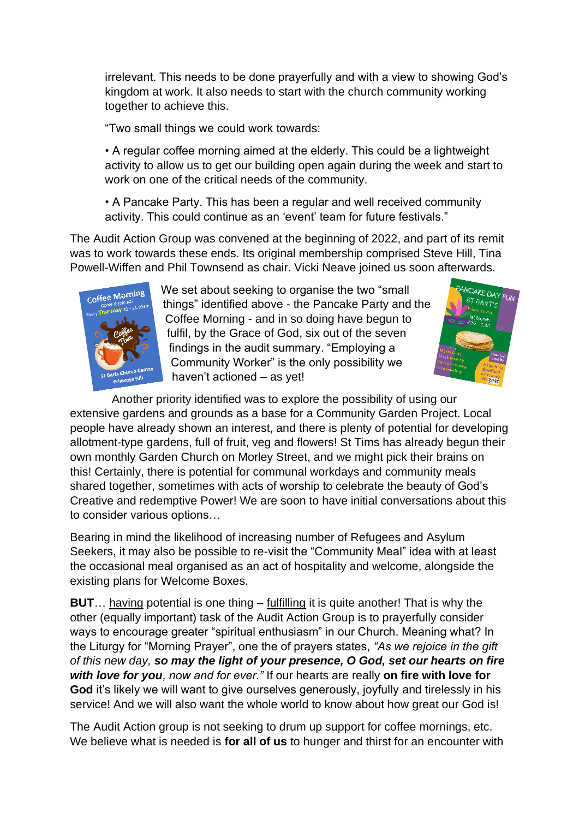irrelevant. This needs to be done prayerfully and with a view to showing God's kingdom at work. It also needs to start with the church community working together to achieve this.

"Two small things we could work towards:

• A regular coffee morning aimed at the elderly. This could be a lightweight activity to allow us to get our building open again during the week and start to work on one of the critical needs of the community.

• A Pancake Party. This has been a regular and well received community activity. This could continue as an 'event' team for future festivals."

The Audit Action Group was convened at the beginning of 2022, and part of its remit was to work towards these ends. Its original membership comprised Steve Hill, Tina Powell-Wiffen and Phil Townsend as chair. Vicki Neave joined us soon afterwards.



We set about seeking to organise the two "small things" identified above - the Pancake Party and the Coffee Morning - and in so doing have begun to fulfil, by the Grace of God, six out of the seven findings in the audit summary. "Employing a Community Worker" is the only possibility we haven't actioned – as yet!



 Another priority identified was to explore the possibility of using our extensive gardens and grounds as a base for a Community Garden Project. Local people have already shown an interest, and there is plenty of potential for developing allotment-type gardens, full of fruit, veg and flowers! St Tims has already begun their own monthly Garden Church on Morley Street, and we might pick their brains on this! Certainly, there is potential for communal workdays and community meals shared together, sometimes with acts of worship to celebrate the beauty of God's Creative and redemptive Power! We are soon to have initial conversations about this to consider various options…

Bearing in mind the likelihood of increasing number of Refugees and Asylum Seekers, it may also be possible to re-visit the "Community Meal" idea with at least the occasional meal organised as an act of hospitality and welcome, alongside the existing plans for Welcome Boxes.

**BUT**… having potential is one thing – fulfilling it is quite another! That is why the other (equally important) task of the Audit Action Group is to prayerfully consider ways to encourage greater "spiritual enthusiasm" in our Church. Meaning what? In the Liturgy for "Morning Prayer", one the of prayers states, *"As we rejoice in the gift of this new day, so may the light of your presence, O God, set our hearts on fire with love for you, now and for ever."* If our hearts are really **on fire with love for God** it's likely we will want to give ourselves generously, joyfully and tirelessly in his service! And we will also want the whole world to know about how great our God is!

The Audit Action group is not seeking to drum up support for coffee mornings, etc. We believe what is needed is **for all of us** to hunger and thirst for an encounter with